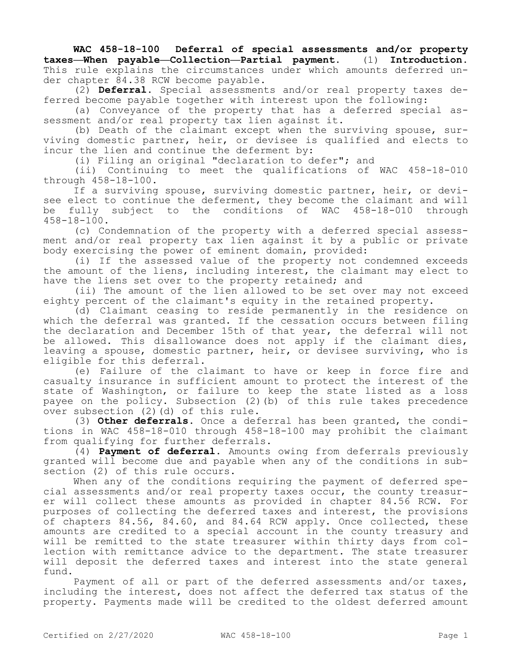**WAC 458-18-100 Deferral of special assessments and/or property taxes—When payable—Collection—Partial payment.** (1) **Introduction.**  This rule explains the circumstances under which amounts deferred under chapter 84.38 RCW become payable.

(2) **Deferral.** Special assessments and/or real property taxes deferred become payable together with interest upon the following:

(a) Conveyance of the property that has a deferred special assessment and/or real property tax lien against it.

(b) Death of the claimant except when the surviving spouse, surviving domestic partner, heir, or devisee is qualified and elects to incur the lien and continue the deferment by:

(i) Filing an original "declaration to defer"; and

(ii) Continuing to meet the qualifications of WAC 458-18-010 through 458-18-100.

If a surviving spouse, surviving domestic partner, heir, or devisee elect to continue the deferment, they become the claimant and will be fully subject to the conditions of WAC 458-18-010 through 458-18-100.

(c) Condemnation of the property with a deferred special assessment and/or real property tax lien against it by a public or private body exercising the power of eminent domain, provided:

(i) If the assessed value of the property not condemned exceeds the amount of the liens, including interest, the claimant may elect to have the liens set over to the property retained; and

(ii) The amount of the lien allowed to be set over may not exceed eighty percent of the claimant's equity in the retained property.

(d) Claimant ceasing to reside permanently in the residence on which the deferral was granted. If the cessation occurs between filing the declaration and December 15th of that year, the deferral will not be allowed. This disallowance does not apply if the claimant dies, leaving a spouse, domestic partner, heir, or devisee surviving, who is eligible for this deferral.

(e) Failure of the claimant to have or keep in force fire and casualty insurance in sufficient amount to protect the interest of the state of Washington, or failure to keep the state listed as a loss payee on the policy. Subsection (2)(b) of this rule takes precedence over subsection (2)(d) of this rule.

(3) **Other deferrals.** Once a deferral has been granted, the conditions in WAC 458-18-010 through 458-18-100 may prohibit the claimant from qualifying for further deferrals.

(4) **Payment of deferral.** Amounts owing from deferrals previously granted will become due and payable when any of the conditions in subsection (2) of this rule occurs.

When any of the conditions requiring the payment of deferred special assessments and/or real property taxes occur, the county treasurer will collect these amounts as provided in chapter 84.56 RCW. For purposes of collecting the deferred taxes and interest, the provisions of chapters 84.56, 84.60, and 84.64 RCW apply. Once collected, these amounts are credited to a special account in the county treasury and will be remitted to the state treasurer within thirty days from collection with remittance advice to the department. The state treasurer will deposit the deferred taxes and interest into the state general fund.

Payment of all or part of the deferred assessments and/or taxes, including the interest, does not affect the deferred tax status of the property. Payments made will be credited to the oldest deferred amount